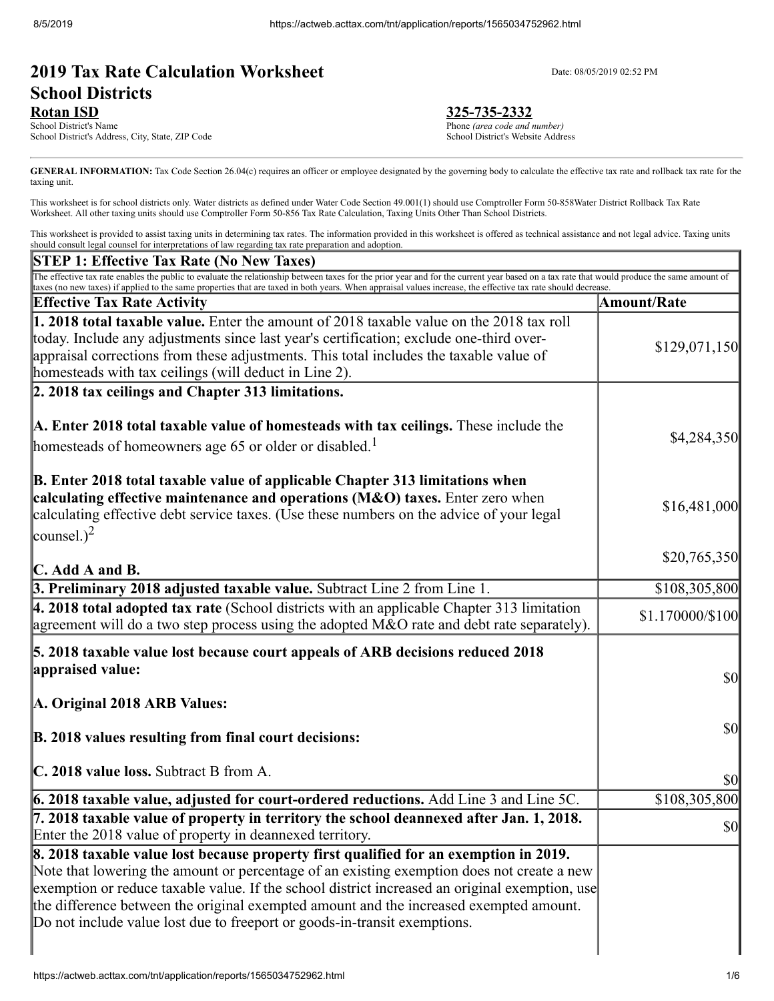# **2019 Tax Rate Calculation Worksheet** Date: 08/05/2019 02:52 PM **School Districts**

**Rotan ISD**<br>
School District's Name<br>
Phone *(area code and r*) School District's Address, City, State, ZIP Code

Phone (area code and number)<br>School District's Website Address

GENERAL INFORMATION: Tax Code Section 26.04(c) requires an officer or employee designated by the governing body to calculate the effective tax rate and rollback tax rate for the taxing unit.

This worksheet is for school districts only. Water districts as defined under Water Code Section 49.001(1) should use Comptroller Form 50-858Water District Rollback Tax Rate Worksheet. All other taxing units should use Comptroller Form 50-856 Tax Rate Calculation, Taxing Units Other Than School Districts.

This worksheet is provided to assist taxing units in determining tax rates. The information provided in this worksheet is offered as technical assistance and not legal advice. Taxing units should consult legal counsel for interpretations of law regarding tax rate preparation and adoption.

| <b>STEP 1: Effective Tax Rate (No New Taxes)</b>                                                                                                                                                                                                                                                                                                           |                    |
|------------------------------------------------------------------------------------------------------------------------------------------------------------------------------------------------------------------------------------------------------------------------------------------------------------------------------------------------------------|--------------------|
| The effective tax rate enables the public to evaluate the relationship between taxes for the prior year and for the current year based on a tax rate that would produce the same amount of<br>taxes (no new taxes) if applied to the same properties that are taxed in both years. When appraisal values increase, the effective tax rate should decrease. |                    |
| <b>Effective Tax Rate Activity</b>                                                                                                                                                                                                                                                                                                                         | <b>Amount/Rate</b> |
| <b>1. 2018 total taxable value.</b> Enter the amount of 2018 taxable value on the 2018 tax roll                                                                                                                                                                                                                                                            |                    |
| today. Include any adjustments since last year's certification; exclude one-third over-                                                                                                                                                                                                                                                                    | \$129,071,150      |
| appraisal corrections from these adjustments. This total includes the taxable value of                                                                                                                                                                                                                                                                     |                    |
| homesteads with tax ceilings (will deduct in Line 2).                                                                                                                                                                                                                                                                                                      |                    |
| 2. 2018 tax ceilings and Chapter 313 limitations.                                                                                                                                                                                                                                                                                                          |                    |
| A. Enter 2018 total taxable value of homesteads with tax ceilings. These include the                                                                                                                                                                                                                                                                       | \$4,284,350        |
| homesteads of homeowners age 65 or older or disabled. <sup>1</sup>                                                                                                                                                                                                                                                                                         |                    |
|                                                                                                                                                                                                                                                                                                                                                            |                    |
| B. Enter 2018 total taxable value of applicable Chapter 313 limitations when<br>calculating effective maintenance and operations $(M&0)$ taxes. Enter zero when                                                                                                                                                                                            |                    |
| calculating effective debt service taxes. (Use these numbers on the advice of your legal                                                                                                                                                                                                                                                                   | \$16,481,000       |
| counsel.) <sup>2</sup>                                                                                                                                                                                                                                                                                                                                     |                    |
|                                                                                                                                                                                                                                                                                                                                                            | \$20,765,350       |
| $\mathbb{C}$ . Add A and B.                                                                                                                                                                                                                                                                                                                                |                    |
| 3. Preliminary 2018 adjusted taxable value. Subtract Line 2 from Line 1.                                                                                                                                                                                                                                                                                   | \$108,305,800      |
| $\vert$ 4. 2018 total adopted tax rate (School districts with an applicable Chapter 313 limitation                                                                                                                                                                                                                                                         | \$1.170000/\$100   |
| agreement will do a two step process using the adopted M&O rate and debt rate separately).                                                                                                                                                                                                                                                                 |                    |
| 5. 2018 taxable value lost because court appeals of ARB decisions reduced 2018                                                                                                                                                                                                                                                                             |                    |
| appraised value:                                                                                                                                                                                                                                                                                                                                           | $\frac{1}{2}$      |
|                                                                                                                                                                                                                                                                                                                                                            |                    |
| A. Original 2018 ARB Values:                                                                                                                                                                                                                                                                                                                               |                    |
| B. 2018 values resulting from final court decisions:                                                                                                                                                                                                                                                                                                       | <b>\$0</b>         |
|                                                                                                                                                                                                                                                                                                                                                            |                    |
| C. 2018 value loss. Subtract B from A.                                                                                                                                                                                                                                                                                                                     | <b>\$0</b>         |
| 6. 2018 taxable value, adjusted for court-ordered reductions. Add Line 3 and Line 5C.                                                                                                                                                                                                                                                                      | \$108,305,800      |
| 7. 2018 taxable value of property in territory the school deannexed after Jan. 1, 2018.                                                                                                                                                                                                                                                                    | $\frac{1}{2}$      |
| Enter the 2018 value of property in deannexed territory.                                                                                                                                                                                                                                                                                                   |                    |
| 8. 2018 taxable value lost because property first qualified for an exemption in 2019.                                                                                                                                                                                                                                                                      |                    |
| Note that lowering the amount or percentage of an existing exemption does not create a new                                                                                                                                                                                                                                                                 |                    |
| exemption or reduce taxable value. If the school district increased an original exemption, use<br>the difference between the original exempted amount and the increased exempted amount.                                                                                                                                                                   |                    |
| Do not include value lost due to freeport or goods-in-transit exemptions.                                                                                                                                                                                                                                                                                  |                    |
|                                                                                                                                                                                                                                                                                                                                                            |                    |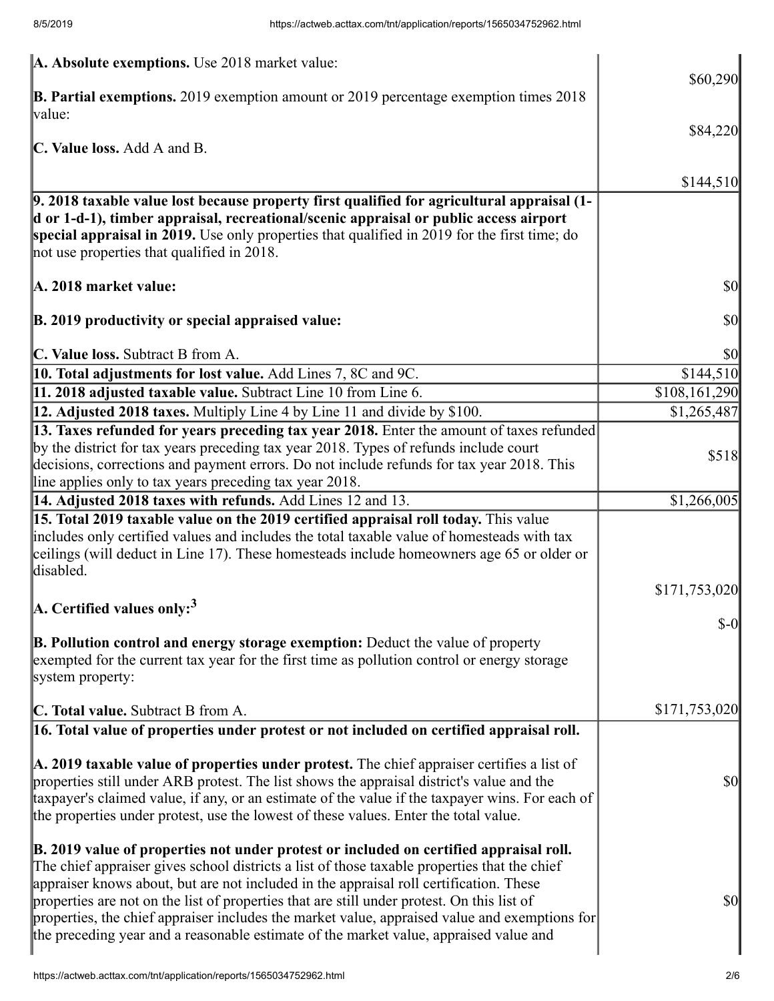| A. Absolute exemptions. Use 2018 market value:                                                                                                                                                                                                                                                                                                                                                                                                                                                                                                                           |                                     |
|--------------------------------------------------------------------------------------------------------------------------------------------------------------------------------------------------------------------------------------------------------------------------------------------------------------------------------------------------------------------------------------------------------------------------------------------------------------------------------------------------------------------------------------------------------------------------|-------------------------------------|
| <b>B. Partial exemptions.</b> 2019 exemption amount or 2019 percentage exemption times $2018$<br>value:                                                                                                                                                                                                                                                                                                                                                                                                                                                                  | \$60,290                            |
| C. Value loss. Add A and B.                                                                                                                                                                                                                                                                                                                                                                                                                                                                                                                                              | \$84,220                            |
|                                                                                                                                                                                                                                                                                                                                                                                                                                                                                                                                                                          |                                     |
| 9. 2018 taxable value lost because property first qualified for agricultural appraisal (1-<br>d or 1-d-1), timber appraisal, recreational/scenic appraisal or public access airport<br>special appraisal in 2019. Use only properties that qualified in 2019 for the first time; do<br>not use properties that qualified in 2018.                                                                                                                                                                                                                                        | \$144,510                           |
| A. 2018 market value:                                                                                                                                                                                                                                                                                                                                                                                                                                                                                                                                                    | \$0                                 |
| <b>B. 2019 productivity or special appraised value:</b>                                                                                                                                                                                                                                                                                                                                                                                                                                                                                                                  | \$0                                 |
| C. Value loss. Subtract B from A.                                                                                                                                                                                                                                                                                                                                                                                                                                                                                                                                        | \$0                                 |
| 10. Total adjustments for lost value. Add Lines 7, 8C and 9C.                                                                                                                                                                                                                                                                                                                                                                                                                                                                                                            | \$144,510                           |
| 11. 2018 adjusted taxable value. Subtract Line 10 from Line 6.                                                                                                                                                                                                                                                                                                                                                                                                                                                                                                           | \$108,161,290                       |
| 12. Adjusted 2018 taxes. Multiply Line 4 by Line 11 and divide by \$100.                                                                                                                                                                                                                                                                                                                                                                                                                                                                                                 | \$1,265,487                         |
| 13. Taxes refunded for years preceding tax year 2018. Enter the amount of taxes refunded<br>by the district for tax years preceding tax year 2018. Types of refunds include court<br>decisions, corrections and payment errors. Do not include refunds for tax year 2018. This<br>line applies only to tax years preceding tax year 2018.                                                                                                                                                                                                                                | \$518                               |
| 14. Adjusted 2018 taxes with refunds. Add Lines 12 and 13.                                                                                                                                                                                                                                                                                                                                                                                                                                                                                                               | \$1,266,005                         |
| 15. Total 2019 taxable value on the 2019 certified appraisal roll today. This value<br>includes only certified values and includes the total taxable value of homesteads with tax<br>ceilings (will deduct in Line 17). These homesteads include homeowners age 65 or older or<br>disabled.                                                                                                                                                                                                                                                                              |                                     |
|                                                                                                                                                                                                                                                                                                                                                                                                                                                                                                                                                                          | \$171,753,020                       |
| A. Certified values only: <sup>3</sup>                                                                                                                                                                                                                                                                                                                                                                                                                                                                                                                                   |                                     |
| <b>B. Pollution control and energy storage exemption:</b> Deduct the value of property<br>exempted for the current tax year for the first time as pollution control or energy storage<br>system property:                                                                                                                                                                                                                                                                                                                                                                | $\sim 0$                            |
| C. Total value. Subtract B from A.                                                                                                                                                                                                                                                                                                                                                                                                                                                                                                                                       | \$171,753,020                       |
| 16. Total value of properties under protest or not included on certified appraisal roll.                                                                                                                                                                                                                                                                                                                                                                                                                                                                                 |                                     |
| A. 2019 taxable value of properties under protest. The chief appraiser certifies a list of<br>properties still under ARB protest. The list shows the appraisal district's value and the<br>taxpayer's claimed value, if any, or an estimate of the value if the taxpayer wins. For each of<br>the properties under protest, use the lowest of these values. Enter the total value.                                                                                                                                                                                       | $\vert \mathbf{S} \mathbf{0} \vert$ |
| B. 2019 value of properties not under protest or included on certified appraisal roll.<br>The chief appraiser gives school districts a list of those taxable properties that the chief<br>appraiser knows about, but are not included in the appraisal roll certification. These<br>properties are not on the list of properties that are still under protest. On this list of<br>properties, the chief appraiser includes the market value, appraised value and exemptions for<br>the preceding year and a reasonable estimate of the market value, appraised value and | $\vert \$\text{O}\vert$             |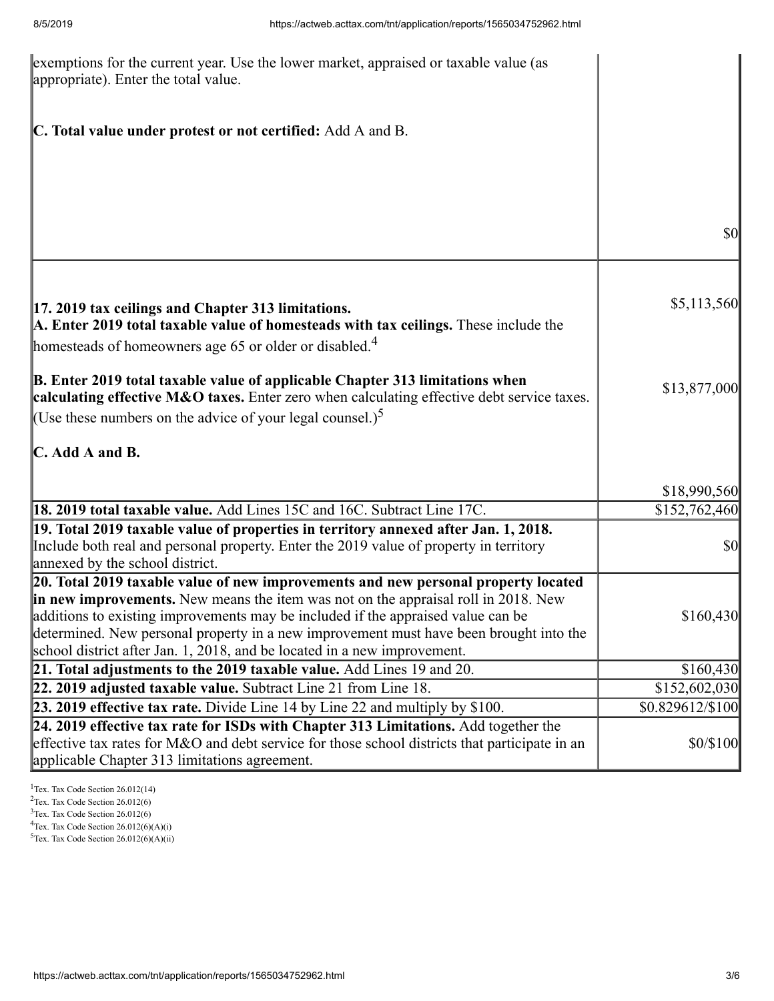| exemptions for the current year. Use the lower market, appraised or taxable value (as<br>appropriate). Enter the total value.                                                                                                                                                                                                                                                                                                      |                         |
|------------------------------------------------------------------------------------------------------------------------------------------------------------------------------------------------------------------------------------------------------------------------------------------------------------------------------------------------------------------------------------------------------------------------------------|-------------------------|
| C. Total value under protest or not certified: Add A and B.                                                                                                                                                                                                                                                                                                                                                                        |                         |
|                                                                                                                                                                                                                                                                                                                                                                                                                                    | $\sqrt{50}$             |
| [17. 2019 tax ceilings and Chapter 313 limitations.<br>A. Enter 2019 total taxable value of homesteads with tax ceilings. These include the<br>homesteads of homeowners age 65 or older or disabled. <sup>4</sup>                                                                                                                                                                                                                  | \$5,113,560             |
| <b>B.</b> Enter 2019 total taxable value of applicable Chapter 313 limitations when<br>calculating effective M&O taxes. Enter zero when calculating effective debt service taxes.<br>(Use these numbers on the advice of your legal counsel.) <sup>5</sup>                                                                                                                                                                         | \$13,877,000            |
| $\mathbb C$ . Add A and B.                                                                                                                                                                                                                                                                                                                                                                                                         |                         |
|                                                                                                                                                                                                                                                                                                                                                                                                                                    | \$18,990,560            |
| 18. 2019 total taxable value. Add Lines 15C and 16C. Subtract Line 17C.                                                                                                                                                                                                                                                                                                                                                            | \$152,762,460           |
| 19. Total 2019 taxable value of properties in territory annexed after Jan. 1, 2018.<br>Include both real and personal property. Enter the 2019 value of property in territory<br>annexed by the school district.                                                                                                                                                                                                                   | $\vert \$\text{O}\vert$ |
| 20. Total 2019 taxable value of new improvements and new personal property located<br>in new improvements. New means the item was not on the appraisal roll in 2018. New<br>additions to existing improvements may be included if the appraised value can be<br>determined. New personal property in a new improvement must have been brought into the<br>school district after Jan. 1, 2018, and be located in a new improvement. | \$160,430               |
| 21. Total adjustments to the 2019 taxable value. Add Lines 19 and 20.                                                                                                                                                                                                                                                                                                                                                              | \$160,430               |
| 22. 2019 adjusted taxable value. Subtract Line 21 from Line 18.                                                                                                                                                                                                                                                                                                                                                                    | \$152,602,030           |
| 23. 2019 effective tax rate. Divide Line 14 by Line 22 and multiply by \$100.                                                                                                                                                                                                                                                                                                                                                      | \$0.829612/\$100        |
| $24.2019$ effective tax rate for ISDs with Chapter 313 Limitations. Add together the<br>effective tax rates for M&O and debt service for those school districts that participate in an<br>applicable Chapter 313 limitations agreement.                                                                                                                                                                                            | \$0/\$100               |

<sup>1</sup>Tex. Tax Code Section 26.012(14) Tex. Tax Code Section 26.012(6) Tex. Tax Code Section 26.012(6) Tex. Tax Code Section 26.012(6)(A)(i)

 $5$ Tex. Tax Code Section 26.012(6)(A)(ii)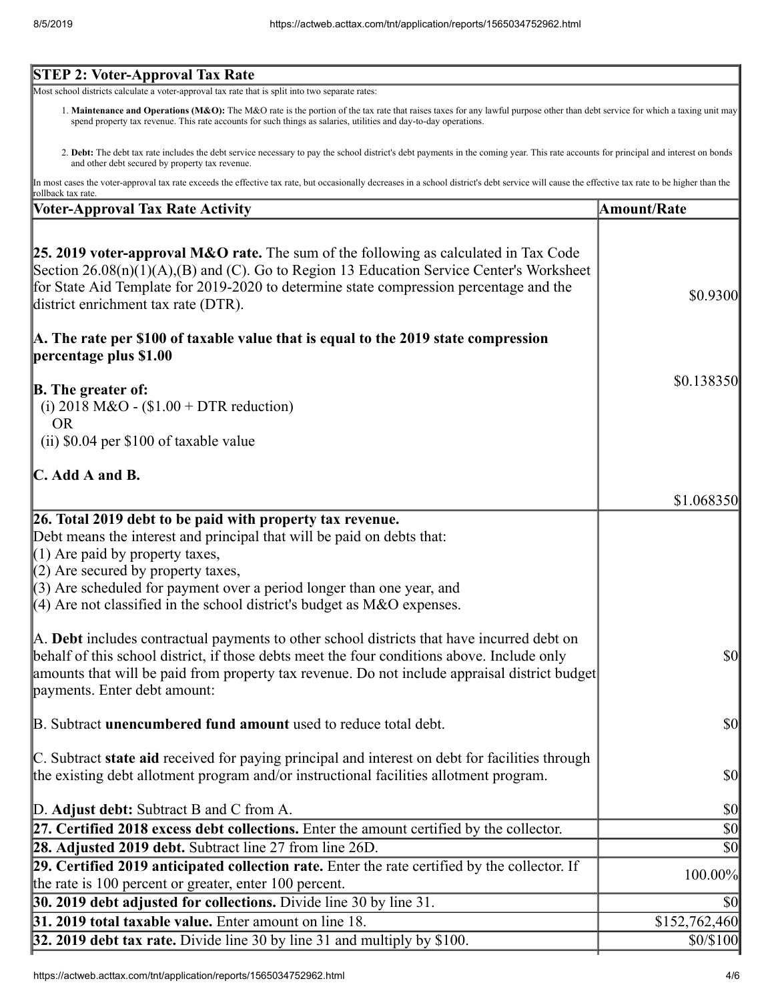#### **STEP 2: Voter-Approval Tax Rate**

Most school districts calculate a voter-approval tax rate that is split into two separate rates:

- 1. Maintenance and Operations (M&O): The M&O rate is the portion of the tax rate that raises taxes for any lawful purpose other than debt service for which a taxing unit may spend property tax revenue. This rate accounts for such things as salaries, utilities and day-to-day operations.
- 2. **Debt:** The debt tax rate includes the debt service necessary to pay the school district's debt payments in the coming year. This rate accounts for principal and interest on bonds and other debt secured by property tax revenue.

In most cases the voter-approval tax rate exceeds the effective tax rate, but occasionally decreases in a school district's debt service will cause the effective tax rate to be higher than the rollback tax rate.

| pondack tax rate.<br><b>Voter-Approval Tax Rate Activity</b>                                    | <b>Amount/Rate</b>                  |
|-------------------------------------------------------------------------------------------------|-------------------------------------|
|                                                                                                 |                                     |
| <b>25. 2019 voter-approval M&amp;O rate.</b> The sum of the following as calculated in Tax Code |                                     |
| Section $26.08(n)(1)(A),(B)$ and (C). Go to Region 13 Education Service Center's Worksheet      |                                     |
| for State Aid Template for 2019-2020 to determine state compression percentage and the          |                                     |
| district enrichment tax rate (DTR).                                                             | \$0.9300                            |
| A. The rate per \$100 of taxable value that is equal to the 2019 state compression              |                                     |
| percentage plus \$1.00                                                                          |                                     |
|                                                                                                 | \$0.138350                          |
| <b>B.</b> The greater of:                                                                       |                                     |
| (i) 2018 M&O - $$1.00 + DTR$ reduction)                                                         |                                     |
| <b>OR</b>                                                                                       |                                     |
| (ii) \$0.04 per \$100 of taxable value                                                          |                                     |
| $\mathbb C$ . Add A and B.                                                                      |                                     |
|                                                                                                 | \$1.068350                          |
| 26. Total 2019 debt to be paid with property tax revenue.                                       |                                     |
| Debt means the interest and principal that will be paid on debts that:                          |                                     |
| $(1)$ Are paid by property taxes,                                                               |                                     |
| $(2)$ Are secured by property taxes,                                                            |                                     |
| $(3)$ Are scheduled for payment over a period longer than one year, and                         |                                     |
| $\parallel$ (4) Are not classified in the school district's budget as M&O expenses.             |                                     |
| A. Debt includes contractual payments to other school districts that have incurred debt on      |                                     |
| behalf of this school district, if those debts meet the four conditions above. Include only     | <b>\$0</b>                          |
| amounts that will be paid from property tax revenue. Do not include appraisal district budget   |                                     |
| payments. Enter debt amount:                                                                    |                                     |
| B. Subtract <b>unencumbered fund amount</b> used to reduce total debt.                          | $\vert \mathbf{S} \mathbf{0} \vert$ |
|                                                                                                 |                                     |
| C. Subtract state aid received for paying principal and interest on debt for facilities through |                                     |
| the existing debt allotment program and/or instructional facilities allotment program.          | $\frac{1}{2}$                       |
| D. Adjust debt: Subtract B and C from A.                                                        | $ 10\rangle$                        |
| 27. Certified 2018 excess debt collections. Enter the amount certified by the collector.        | $\vert \mathcal{S}0 \vert$          |
| 28. Adjusted 2019 debt. Subtract line 27 from line 26D.                                         | $\vert \mathbf{S} \mathbf{0} \vert$ |
| 29. Certified 2019 anticipated collection rate. Enter the rate certified by the collector. If   | 100.00%                             |
| the rate is 100 percent or greater, enter 100 percent.                                          |                                     |
| 30. 2019 debt adjusted for collections. Divide line 30 by line 31.                              | <b>\$0</b>                          |
| 31. 2019 total taxable value. Enter amount on line 18.                                          | \$152,762,460                       |
| 32. 2019 debt tax rate. Divide line 30 by line 31 and multiply by \$100.                        | \$0/\$100                           |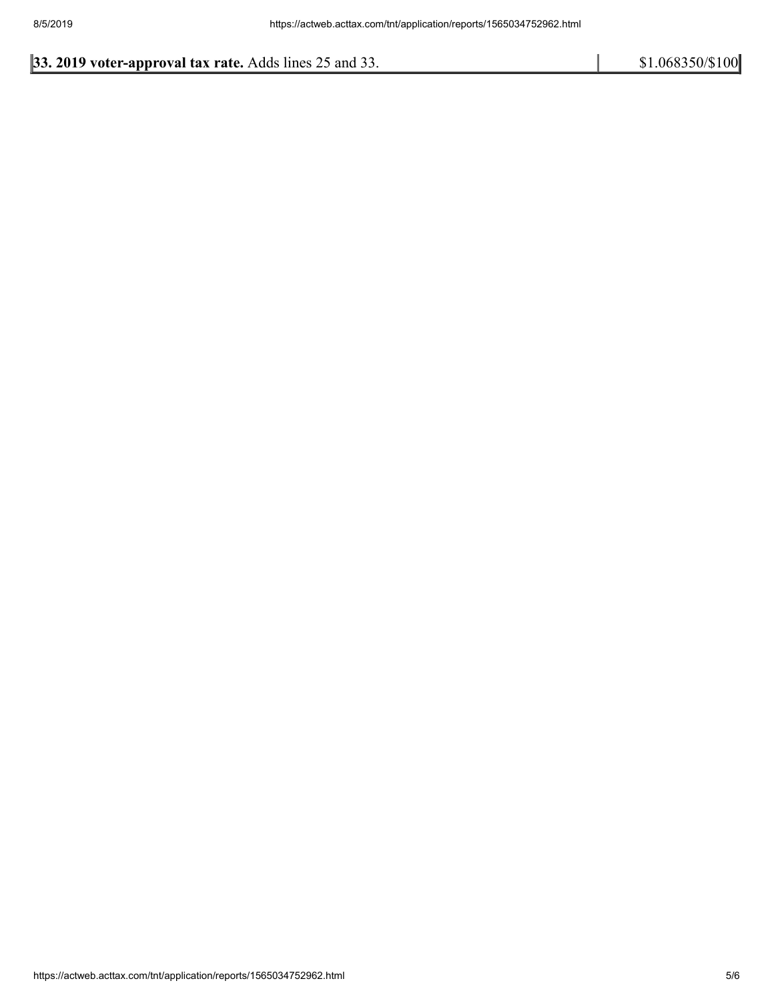# **33. 2019 voter-approval tax rate.** Adds lines 25 and 33. \$1.068350/\$100